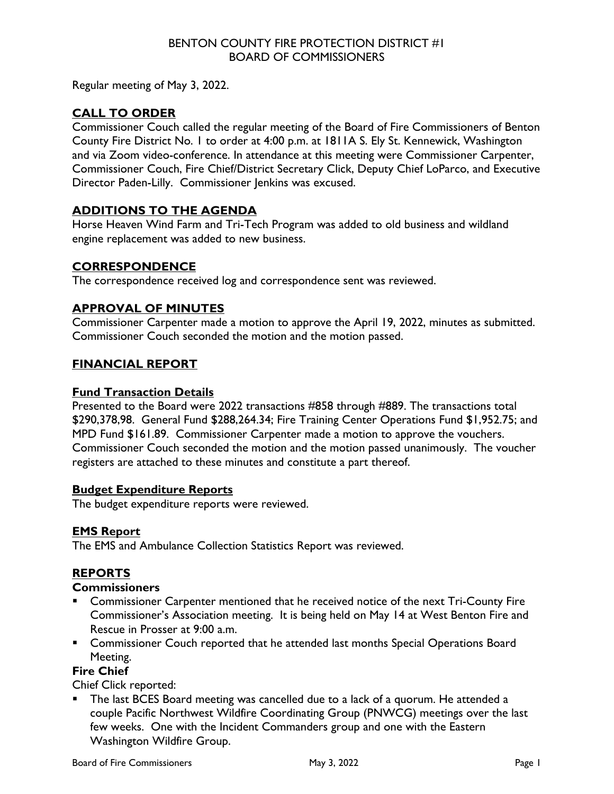#### BENTON COUNTY FIRE PROTECTION DISTRICT #1 BOARD OF COMMISSIONERS

Regular meeting of May 3, 2022.

# **CALL TO ORDER**

Commissioner Couch called the regular meeting of the Board of Fire Commissioners of Benton County Fire District No. 1 to order at 4:00 p.m. at 1811A S. Ely St. Kennewick, Washington and via Zoom video-conference. In attendance at this meeting were Commissioner Carpenter, Commissioner Couch, Fire Chief/District Secretary Click, Deputy Chief LoParco, and Executive Director Paden-Lilly. Commissioner Jenkins was excused.

## **ADDITIONS TO THE AGENDA**

Horse Heaven Wind Farm and Tri-Tech Program was added to old business and wildland engine replacement was added to new business.

### **CORRESPONDENCE**

The correspondence received log and correspondence sent was reviewed.

## **APPROVAL OF MINUTES**

Commissioner Carpenter made a motion to approve the April 19, 2022, minutes as submitted. Commissioner Couch seconded the motion and the motion passed.

### **FINANCIAL REPORT**

#### **Fund Transaction Details**

Presented to the Board were 2022 transactions #858 through #889. The transactions total \$290,378,98. General Fund \$288,264.34; Fire Training Center Operations Fund \$1,952.75; and MPD Fund \$161.89. Commissioner Carpenter made a motion to approve the vouchers. Commissioner Couch seconded the motion and the motion passed unanimously. The voucher registers are attached to these minutes and constitute a part thereof.

### **Budget Expenditure Reports**

The budget expenditure reports were reviewed.

### **EMS Report**

The EMS and Ambulance Collection Statistics Report was reviewed.

### **REPORTS**

### **Commissioners**

- Commissioner Carpenter mentioned that he received notice of the next Tri-County Fire Commissioner's Association meeting. It is being held on May 14 at West Benton Fire and Rescue in Prosser at 9:00 a.m.
- **EXP** Commissioner Couch reported that he attended last months Special Operations Board Meeting.

### **Fire Chief**

Chief Click reported:

 The last BCES Board meeting was cancelled due to a lack of a quorum. He attended a couple Pacific Northwest Wildfire Coordinating Group (PNWCG) meetings over the last few weeks. One with the Incident Commanders group and one with the Eastern Washington Wildfire Group.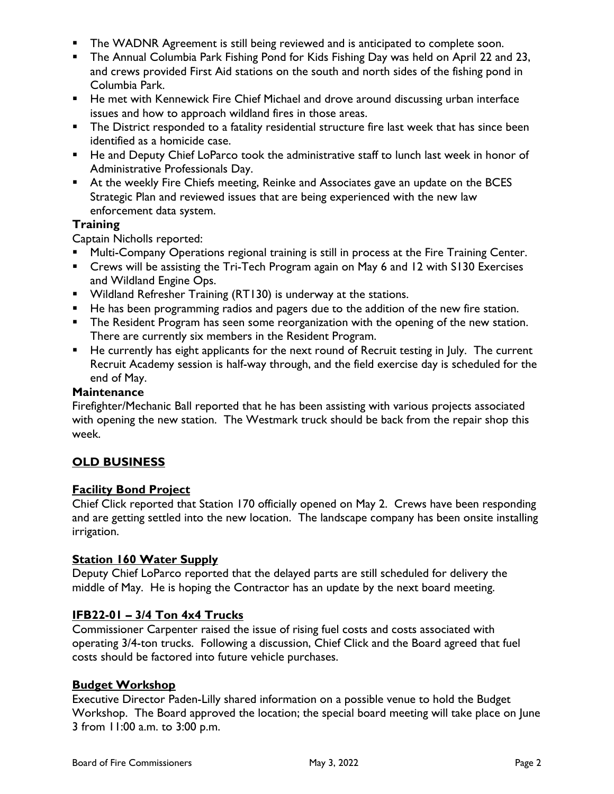- **The WADNR Agreement is still being reviewed and is anticipated to complete soon.**
- **The Annual Columbia Park Fishing Pond for Kids Fishing Day was held on April 22 and 23,** and crews provided First Aid stations on the south and north sides of the fishing pond in Columbia Park.
- He met with Kennewick Fire Chief Michael and drove around discussing urban interface issues and how to approach wildland fires in those areas.
- **The District responded to a fatality residential structure fire last week that has since been** identified as a homicide case.
- He and Deputy Chief LoParco took the administrative staff to lunch last week in honor of Administrative Professionals Day.
- At the weekly Fire Chiefs meeting, Reinke and Associates gave an update on the BCES Strategic Plan and reviewed issues that are being experienced with the new law enforcement data system.

### **Training**

Captain Nicholls reported:

- **Multi-Company Operations regional training is still in process at the Fire Training Center.**
- Crews will be assisting the Tri-Tech Program again on May 6 and 12 with S130 Exercises and Wildland Engine Ops.
- Wildland Refresher Training (RT130) is underway at the stations.
- He has been programming radios and pagers due to the addition of the new fire station.
- **The Resident Program has seen some reorganization with the opening of the new station.** There are currently six members in the Resident Program.
- He currently has eight applicants for the next round of Recruit testing in July. The current Recruit Academy session is half-way through, and the field exercise day is scheduled for the end of May.

#### **Maintenance**

Firefighter/Mechanic Ball reported that he has been assisting with various projects associated with opening the new station. The Westmark truck should be back from the repair shop this week.

### **OLD BUSINESS**

### **Facility Bond Project**

Chief Click reported that Station 170 officially opened on May 2. Crews have been responding and are getting settled into the new location. The landscape company has been onsite installing irrigation.

### **Station 160 Water Supply**

Deputy Chief LoParco reported that the delayed parts are still scheduled for delivery the middle of May. He is hoping the Contractor has an update by the next board meeting.

### **IFB22-01 – 3/4 Ton 4x4 Trucks**

Commissioner Carpenter raised the issue of rising fuel costs and costs associated with operating 3/4-ton trucks. Following a discussion, Chief Click and the Board agreed that fuel costs should be factored into future vehicle purchases.

### **Budget Workshop**

Executive Director Paden-Lilly shared information on a possible venue to hold the Budget Workshop. The Board approved the location; the special board meeting will take place on June 3 from 11:00 a.m. to 3:00 p.m.